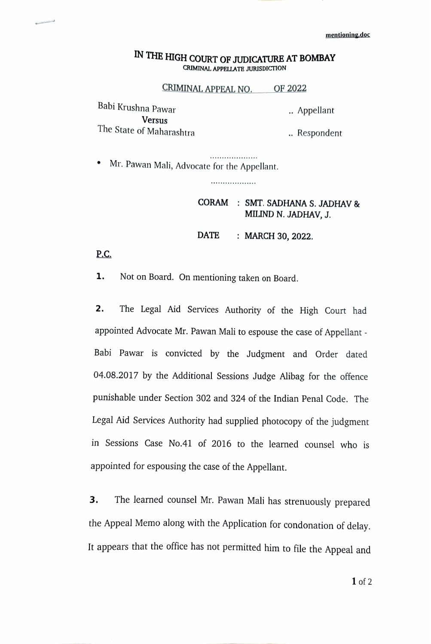## IN THE HIGH COURT OF JUDICATURE AT BOMBAY CRIMINAL APPELLATE JURISDICTION

CRIMINAL APPEAL NO. OF 2022

Babi Krushna Pawar . Appellant Versus The State of Maharashtra **.** . Respondent

Mr. Pawan Mali, Advocate for the Appellant.

...................

\*\*\*\*\*\*\*\*\*\*\*\*\*\*\*\*\*\*

## CORAM: SMT. SADHANA S. JADHAV & MILIND N. JADHAV, J.

DATE : MARCH 30, 2022.

P.C.

1. Not on Board. On mentioning taken on Board.

2. The Legal Aid Services Authority of the High Court had appointed Advocate Mr. Pawan Mali to espouse the case of Appellant - Babi Pawar is convicted by the Judgment and Order dated 04.08.2017 by the Additional Sessions Judge Alibag for the offence punishable under Section 302 and 324 of the Indian Penal Code. The Legal Aid Services Authority had supplied photocopy of the judgment in Sessions Case No.41 of 2016 to the learned counsel who is appointed for espousing the case of the Appellant.

3. The learned counsel Mr. Pawan Mali has strenuously prepared the Appeal Memo along with the Application for condonation of delay. It appears that the office has not permitted him to file the Appeal and